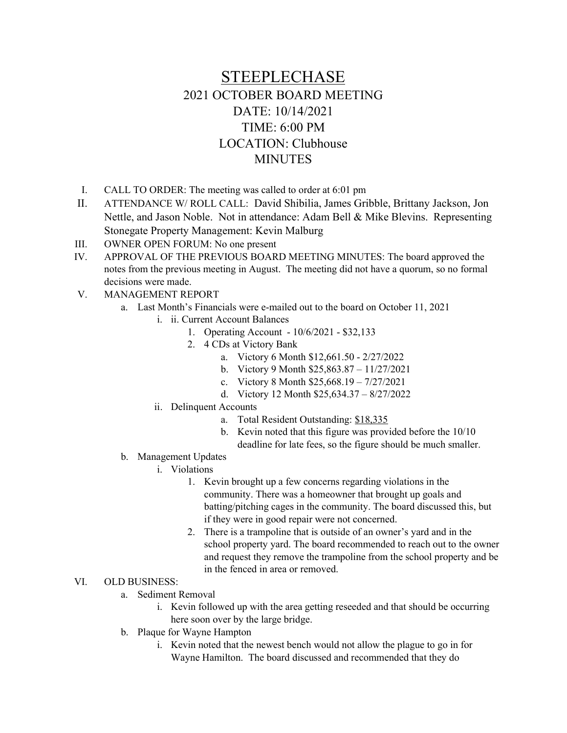## STEEPLECHASE 2021 OCTOBER BOARD MEETING DATE: 10/14/2021 TIME: 6:00 PM LOCATION: Clubhouse **MINUTES**

- I. CALL TO ORDER: The meeting was called to order at 6:01 pm
- II. ATTENDANCE W/ ROLL CALL: David Shibilia, James Gribble, Brittany Jackson, Jon Nettle, and Jason Noble. Not in attendance: Adam Bell & Mike Blevins. Representing Stonegate Property Management: Kevin Malburg
- III. OWNER OPEN FORUM: No one present
- IV. APPROVAL OF THE PREVIOUS BOARD MEETING MINUTES: The board approved the notes from the previous meeting in August. The meeting did not have a quorum, so no formal decisions were made.
- V. MANAGEMENT REPORT
	- a. Last Month's Financials were e-mailed out to the board on October 11, 2021
		- i. ii. Current Account Balances
			- 1. Operating Account 10/6/2021 \$32,133
				- 2. 4 CDs at Victory Bank
					- a. Victory 6 Month \$12,661.50 2/27/2022
					- b. Victory 9 Month \$25,863.87 11/27/2021
					- c. Victory 8 Month \$25,668.19 7/27/2021
					- d. Victory 12 Month \$25,634.37 8/27/2022
			- ii. Delinquent Accounts
				- a. Total Resident Outstanding: \$18,335
				- b. Kevin noted that this figure was provided before the 10/10 deadline for late fees, so the figure should be much smaller.
	- b. Management Updates
		- i. Violations
			- 1. Kevin brought up a few concerns regarding violations in the community. There was a homeowner that brought up goals and batting/pitching cages in the community. The board discussed this, but if they were in good repair were not concerned.
			- 2. There is a trampoline that is outside of an owner's yard and in the school property yard. The board recommended to reach out to the owner and request they remove the trampoline from the school property and be in the fenced in area or removed.
- VI. OLD BUSINESS:
	- a. Sediment Removal
		- i. Kevin followed up with the area getting reseeded and that should be occurring here soon over by the large bridge.
	- b. Plaque for Wayne Hampton
		- i. Kevin noted that the newest bench would not allow the plague to go in for Wayne Hamilton. The board discussed and recommended that they do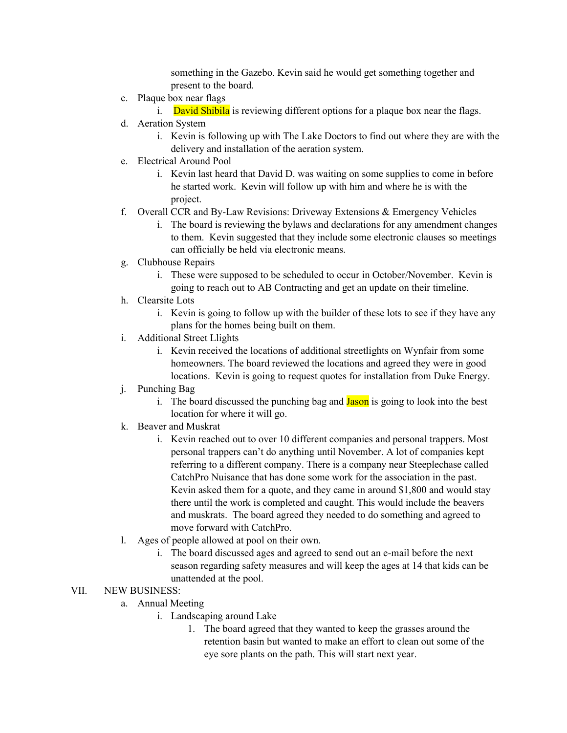something in the Gazebo. Kevin said he would get something together and present to the board.

- c. Plaque box near flags
	- i. David Shibila is reviewing different options for a plaque box near the flags.
- d. Aeration System
	- i. Kevin is following up with The Lake Doctors to find out where they are with the delivery and installation of the aeration system.
- e. Electrical Around Pool
	- i. Kevin last heard that David D. was waiting on some supplies to come in before he started work. Kevin will follow up with him and where he is with the project.
- f. Overall CCR and By-Law Revisions: Driveway Extensions & Emergency Vehicles
	- i. The board is reviewing the bylaws and declarations for any amendment changes to them. Kevin suggested that they include some electronic clauses so meetings can officially be held via electronic means.
- g. Clubhouse Repairs
	- i. These were supposed to be scheduled to occur in October/November. Kevin is going to reach out to AB Contracting and get an update on their timeline.
- h. Clearsite Lots
	- i. Kevin is going to follow up with the builder of these lots to see if they have any plans for the homes being built on them.
- i. Additional Street Llights
	- i. Kevin received the locations of additional streetlights on Wynfair from some homeowners. The board reviewed the locations and agreed they were in good locations. Kevin is going to request quotes for installation from Duke Energy.
- j. Punching Bag
	- i. The board discussed the punching bag and  $Jason$  is going to look into the best location for where it will go.
- k. Beaver and Muskrat
	- i. Kevin reached out to over 10 different companies and personal trappers. Most personal trappers can't do anything until November. A lot of companies kept referring to a different company. There is a company near Steeplechase called CatchPro Nuisance that has done some work for the association in the past. Kevin asked them for a quote, and they came in around \$1,800 and would stay there until the work is completed and caught. This would include the beavers and muskrats. The board agreed they needed to do something and agreed to move forward with CatchPro.
- l. Ages of people allowed at pool on their own.
	- i. The board discussed ages and agreed to send out an e-mail before the next season regarding safety measures and will keep the ages at 14 that kids can be unattended at the pool.

## VII. NEW BUSINESS:

- a. Annual Meeting
	- i. Landscaping around Lake
		- 1. The board agreed that they wanted to keep the grasses around the retention basin but wanted to make an effort to clean out some of the eye sore plants on the path. This will start next year.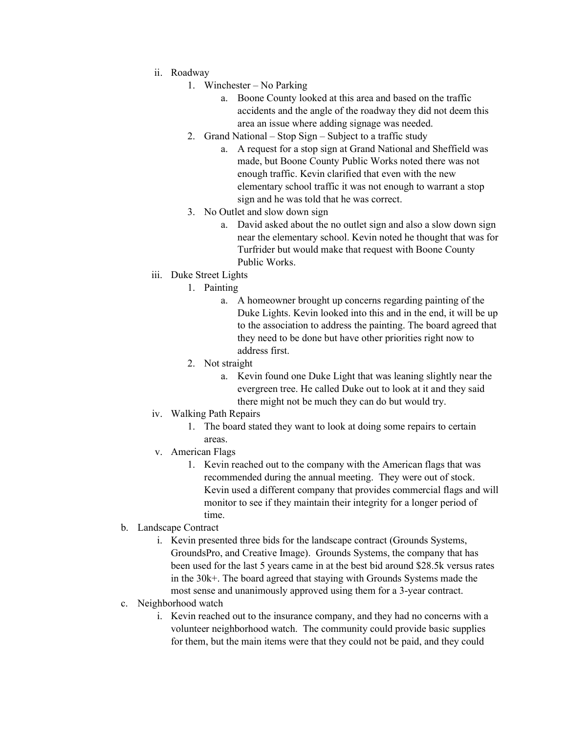- ii. Roadway
	- 1. Winchester No Parking
		- a. Boone County looked at this area and based on the traffic accidents and the angle of the roadway they did not deem this area an issue where adding signage was needed.
	- 2. Grand National Stop Sign Subject to a traffic study
		- a. A request for a stop sign at Grand National and Sheffield was made, but Boone County Public Works noted there was not enough traffic. Kevin clarified that even with the new elementary school traffic it was not enough to warrant a stop sign and he was told that he was correct.
	- 3. No Outlet and slow down sign
		- a. David asked about the no outlet sign and also a slow down sign near the elementary school. Kevin noted he thought that was for Turfrider but would make that request with Boone County Public Works.
- iii. Duke Street Lights
	- 1. Painting
		- a. A homeowner brought up concerns regarding painting of the Duke Lights. Kevin looked into this and in the end, it will be up to the association to address the painting. The board agreed that they need to be done but have other priorities right now to address first.
	- 2. Not straight
		- a. Kevin found one Duke Light that was leaning slightly near the evergreen tree. He called Duke out to look at it and they said there might not be much they can do but would try.
- iv. Walking Path Repairs
	- 1. The board stated they want to look at doing some repairs to certain areas.
- v. American Flags
	- 1. Kevin reached out to the company with the American flags that was recommended during the annual meeting. They were out of stock. Kevin used a different company that provides commercial flags and will monitor to see if they maintain their integrity for a longer period of time.
- b. Landscape Contract
	- i. Kevin presented three bids for the landscape contract (Grounds Systems, GroundsPro, and Creative Image). Grounds Systems, the company that has been used for the last 5 years came in at the best bid around \$28.5k versus rates in the 30k+. The board agreed that staying with Grounds Systems made the most sense and unanimously approved using them for a 3-year contract.
- c. Neighborhood watch
	- i. Kevin reached out to the insurance company, and they had no concerns with a volunteer neighborhood watch. The community could provide basic supplies for them, but the main items were that they could not be paid, and they could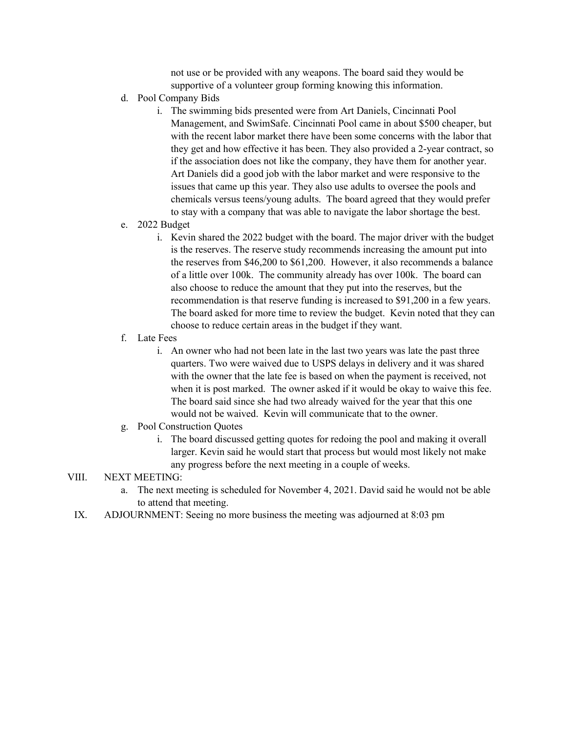not use or be provided with any weapons. The board said they would be supportive of a volunteer group forming knowing this information.

- d. Pool Company Bids
	- i. The swimming bids presented were from Art Daniels, Cincinnati Pool Management, and SwimSafe. Cincinnati Pool came in about \$500 cheaper, but with the recent labor market there have been some concerns with the labor that they get and how effective it has been. They also provided a 2-year contract, so if the association does not like the company, they have them for another year. Art Daniels did a good job with the labor market and were responsive to the issues that came up this year. They also use adults to oversee the pools and chemicals versus teens/young adults. The board agreed that they would prefer to stay with a company that was able to navigate the labor shortage the best.
- e. 2022 Budget
	- i. Kevin shared the 2022 budget with the board. The major driver with the budget is the reserves. The reserve study recommends increasing the amount put into the reserves from \$46,200 to \$61,200. However, it also recommends a balance of a little over 100k. The community already has over 100k. The board can also choose to reduce the amount that they put into the reserves, but the recommendation is that reserve funding is increased to \$91,200 in a few years. The board asked for more time to review the budget. Kevin noted that they can choose to reduce certain areas in the budget if they want.
- f. Late Fees
	- i. An owner who had not been late in the last two years was late the past three quarters. Two were waived due to USPS delays in delivery and it was shared with the owner that the late fee is based on when the payment is received, not when it is post marked. The owner asked if it would be okay to waive this fee. The board said since she had two already waived for the year that this one would not be waived. Kevin will communicate that to the owner.
- g. Pool Construction Quotes
	- i. The board discussed getting quotes for redoing the pool and making it overall larger. Kevin said he would start that process but would most likely not make any progress before the next meeting in a couple of weeks.

## VIII. NEXT MEETING:

- a. The next meeting is scheduled for November 4, 2021. David said he would not be able to attend that meeting.
- IX. ADJOURNMENT: Seeing no more business the meeting was adjourned at 8:03 pm